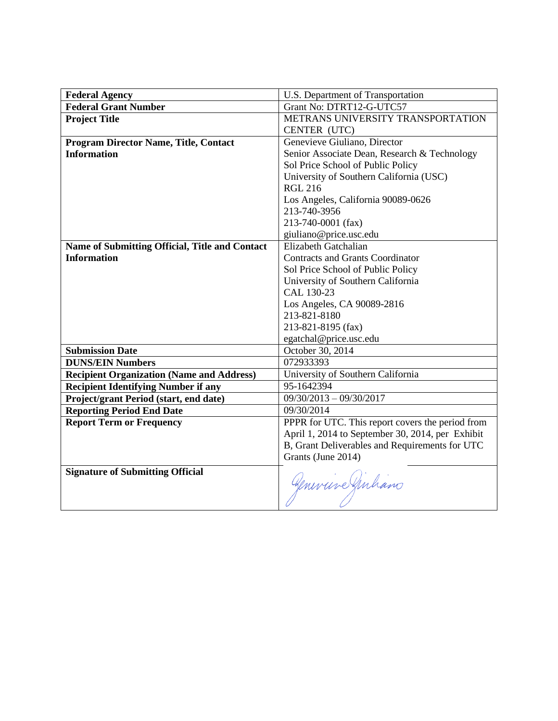| <b>Federal Agency</b>                            | U.S. Department of Transportation                |
|--------------------------------------------------|--------------------------------------------------|
| <b>Federal Grant Number</b>                      | Grant No: DTRT12-G-UTC57                         |
| <b>Project Title</b>                             | METRANS UNIVERSITY TRANSPORTATION                |
|                                                  | CENTER (UTC)                                     |
| <b>Program Director Name, Title, Contact</b>     | Genevieve Giuliano, Director                     |
| <b>Information</b>                               | Senior Associate Dean, Research & Technology     |
|                                                  | Sol Price School of Public Policy                |
|                                                  | University of Southern California (USC)          |
|                                                  | <b>RGL 216</b>                                   |
|                                                  | Los Angeles, California 90089-0626               |
|                                                  | 213-740-3956                                     |
|                                                  | 213-740-0001 (fax)                               |
|                                                  | giuliano@price.usc.edu                           |
| Name of Submitting Official, Title and Contact   | Elizabeth Gatchalian                             |
| <b>Information</b>                               | <b>Contracts and Grants Coordinator</b>          |
|                                                  | Sol Price School of Public Policy                |
|                                                  | University of Southern California                |
|                                                  | CAL 130-23                                       |
|                                                  | Los Angeles, CA 90089-2816                       |
|                                                  | 213-821-8180                                     |
|                                                  | 213-821-8195 (fax)                               |
|                                                  | egatchal@price.usc.edu                           |
| <b>Submission Date</b>                           | October 30, 2014                                 |
| <b>DUNS/EIN Numbers</b>                          | 072933393                                        |
| <b>Recipient Organization (Name and Address)</b> | University of Southern California                |
| <b>Recipient Identifying Number if any</b>       | 95-1642394                                       |
| Project/grant Period (start, end date)           | $09/30/2013 - 09/30/2017$                        |
| <b>Reporting Period End Date</b>                 | 09/30/2014                                       |
| <b>Report Term or Frequency</b>                  | PPPR for UTC. This report covers the period from |
|                                                  | April 1, 2014 to September 30, 2014, per Exhibit |
|                                                  | B, Grant Deliverables and Requirements for UTC   |
|                                                  | Grants (June 2014)                               |
| <b>Signature of Submitting Official</b>          | Geneviere Girhano                                |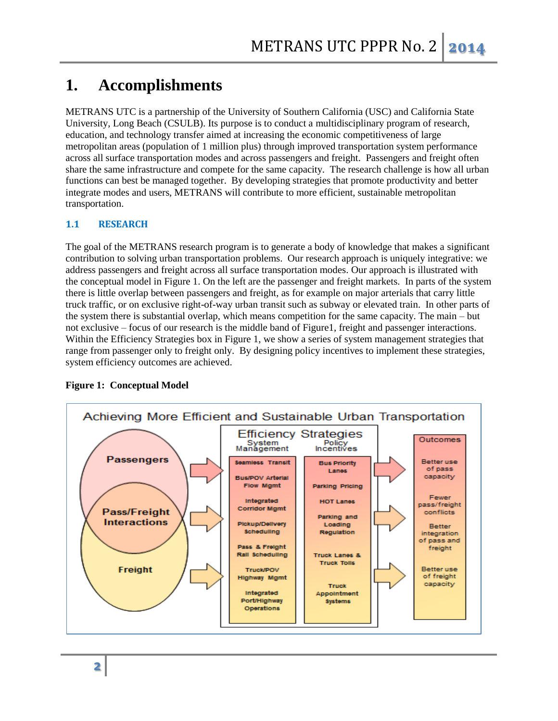# **1. Accomplishments**

METRANS UTC is a partnership of the University of Southern California (USC) and California State University, Long Beach (CSULB). Its purpose is to conduct a multidisciplinary program of research, education, and technology transfer aimed at increasing the economic competitiveness of large metropolitan areas (population of 1 million plus) through improved transportation system performance across all surface transportation modes and across passengers and freight. Passengers and freight often share the same infrastructure and compete for the same capacity. The research challenge is how all urban functions can best be managed together. By developing strategies that promote productivity and better integrate modes and users, METRANS will contribute to more efficient, sustainable metropolitan transportation.

## **1.1 RESEARCH**

The goal of the METRANS research program is to generate a body of knowledge that makes a significant contribution to solving urban transportation problems. Our research approach is uniquely integrative: we address passengers and freight across all surface transportation modes. Our approach is illustrated with the conceptual model in Figure 1. On the left are the passenger and freight markets. In parts of the system there is little overlap between passengers and freight, as for example on major arterials that carry little truck traffic, or on exclusive right-of-way urban transit such as subway or elevated train. In other parts of the system there is substantial overlap, which means competition for the same capacity. The main – but not exclusive – focus of our research is the middle band of Figure1, freight and passenger interactions. Within the Efficiency Strategies box in Figure 1, we show a series of system management strategies that range from passenger only to freight only. By designing policy incentives to implement these strategies, system efficiency outcomes are achieved.



## **Figure 1: Conceptual Model**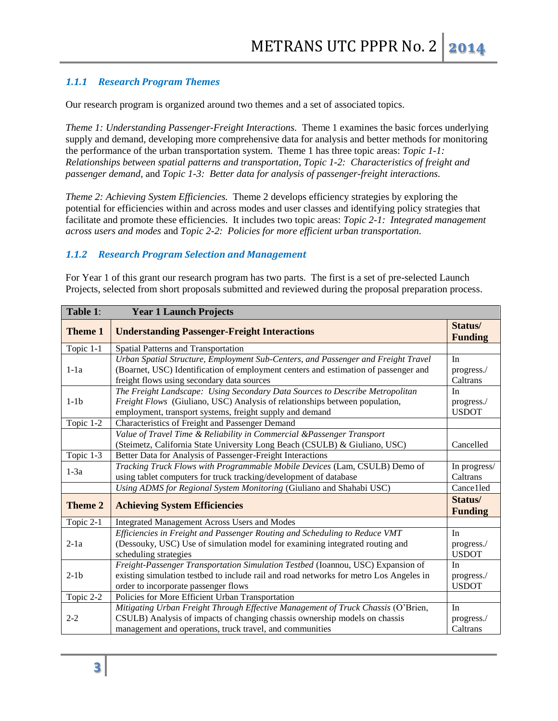## *1.1.1 Research Program Themes*

Our research program is organized around two themes and a set of associated topics.

*Theme 1: Understanding Passenger-Freight Interactions.* Theme 1 examines the basic forces underlying supply and demand, developing more comprehensive data for analysis and better methods for monitoring the performance of the urban transportation system. Theme 1 has three topic areas: *Topic 1-1: Relationships between spatial patterns and transportation, Topic 1-2: Characteristics of freight and passenger demand,* and *Topic 1-3: Better data for analysis of passenger-freight interactions.*

*Theme 2: Achieving System Efficiencies.* Theme 2 develops efficiency strategies by exploring the potential for efficiencies within and across modes and user classes and identifying policy strategies that facilitate and promote these efficiencies. It includes two topic areas: *Topic 2-1: Integrated management across users and modes* and *Topic 2-2: Policies for more efficient urban transportation.*

#### *1.1.2 Research Program Selection and Management*

For Year 1 of this grant our research program has two parts. The first is a set of pre-selected Launch Projects, selected from short proposals submitted and reviewed during the proposal preparation process.

| Table 1:       | <b>Year 1 Launch Projects</b>                                                                                                                                                                                              |                                  |
|----------------|----------------------------------------------------------------------------------------------------------------------------------------------------------------------------------------------------------------------------|----------------------------------|
| <b>Theme 1</b> | <b>Understanding Passenger-Freight Interactions</b>                                                                                                                                                                        | Status/<br><b>Funding</b>        |
| Topic 1-1      | Spatial Patterns and Transportation                                                                                                                                                                                        |                                  |
| $1-1a$         | Urban Spatial Structure, Employment Sub-Centers, and Passenger and Freight Travel<br>(Boarnet, USC) Identification of employment centers and estimation of passenger and<br>freight flows using secondary data sources     | In<br>progress./<br>Caltrans     |
| $1-1b$         | The Freight Landscape: Using Secondary Data Sources to Describe Metropolitan<br>Freight Flows (Giuliano, USC) Analysis of relationships between population,<br>employment, transport systems, freight supply and demand    | In<br>progress./<br><b>USDOT</b> |
| Topic 1-2      | Characteristics of Freight and Passenger Demand                                                                                                                                                                            |                                  |
|                | Value of Travel Time & Reliability in Commercial &Passenger Transport<br>(Steimetz, California State University Long Beach (CSULB) & Giuliano, USC)                                                                        | Cancelled                        |
| Topic 1-3      | Better Data for Analysis of Passenger-Freight Interactions                                                                                                                                                                 |                                  |
| $1-3a$         | Tracking Truck Flows with Programmable Mobile Devices (Lam, CSULB) Demo of<br>using tablet computers for truck tracking/development of database                                                                            | In progress/<br>Caltrans         |
|                | Using ADMS for Regional System Monitoring (Giuliano and Shahabi USC)                                                                                                                                                       | Cance1led                        |
| <b>Theme 2</b> | <b>Achieving System Efficiencies</b>                                                                                                                                                                                       | Status/<br><b>Funding</b>        |
| Topic 2-1      | <b>Integrated Management Across Users and Modes</b>                                                                                                                                                                        |                                  |
| $2-1a$         | Efficiencies in Freight and Passenger Routing and Scheduling to Reduce VMT<br>(Dessouky, USC) Use of simulation model for examining integrated routing and<br>scheduling strategies                                        | In<br>progress./<br><b>USDOT</b> |
| $2-1b$         | Freight-Passenger Transportation Simulation Testbed (Ioannou, USC) Expansion of<br>existing simulation testbed to include rail and road networks for metro Los Angeles in<br>order to incorporate passenger flows          | In<br>progress./<br><b>USDOT</b> |
| Topic 2-2      | Policies for More Efficient Urban Transportation                                                                                                                                                                           |                                  |
| $2 - 2$        | Mitigating Urban Freight Through Effective Management of Truck Chassis (O'Brien,<br>CSULB) Analysis of impacts of changing chassis ownership models on chassis<br>management and operations, truck travel, and communities | In<br>progress./<br>Caltrans     |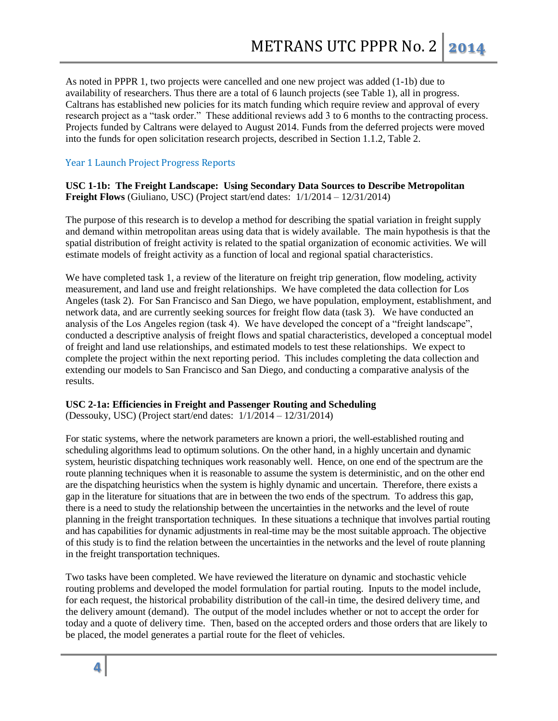As noted in PPPR 1, two projects were cancelled and one new project was added (1-1b) due to availability of researchers. Thus there are a total of 6 launch projects (see Table 1), all in progress. Caltrans has established new policies for its match funding which require review and approval of every research project as a "task order." These additional reviews add 3 to 6 months to the contracting process. Projects funded by Caltrans were delayed to August 2014. Funds from the deferred projects were moved into the funds for open solicitation research projects, described in Section 1.1.2, Table 2.

## Year 1 Launch Project Progress Reports

**USC 1-1b: The Freight Landscape: Using Secondary Data Sources to Describe Metropolitan Freight Flows** (Giuliano, USC) (Project start/end dates: 1/1/2014 – 12/31/2014)

The purpose of this research is to develop a method for describing the spatial variation in freight supply and demand within metropolitan areas using data that is widely available. The main hypothesis is that the spatial distribution of freight activity is related to the spatial organization of economic activities. We will estimate models of freight activity as a function of local and regional spatial characteristics.

We have completed task 1, a review of the literature on freight trip generation, flow modeling, activity measurement, and land use and freight relationships. We have completed the data collection for Los Angeles (task 2). For San Francisco and San Diego, we have population, employment, establishment, and network data, and are currently seeking sources for freight flow data (task 3). We have conducted an analysis of the Los Angeles region (task 4). We have developed the concept of a "freight landscape", conducted a descriptive analysis of freight flows and spatial characteristics, developed a conceptual model of freight and land use relationships, and estimated models to test these relationships. We expect to complete the project within the next reporting period. This includes completing the data collection and extending our models to San Francisco and San Diego, and conducting a comparative analysis of the results.

#### **USC 2-1a: Efficiencies in Freight and Passenger Routing and Scheduling**

(Dessouky, USC) (Project start/end dates: 1/1/2014 – 12/31/2014)

For static systems, where the network parameters are known a priori, the well-established routing and scheduling algorithms lead to optimum solutions. On the other hand, in a highly uncertain and dynamic system, heuristic dispatching techniques work reasonably well. Hence, on one end of the spectrum are the route planning techniques when it is reasonable to assume the system is deterministic, and on the other end are the dispatching heuristics when the system is highly dynamic and uncertain. Therefore, there exists a gap in the literature for situations that are in between the two ends of the spectrum. To address this gap, there is a need to study the relationship between the uncertainties in the networks and the level of route planning in the freight transportation techniques. In these situations a technique that involves partial routing and has capabilities for dynamic adjustments in real-time may be the most suitable approach. The objective of this study is to find the relation between the uncertainties in the networks and the level of route planning in the freight transportation techniques.

Two tasks have been completed. We have reviewed the literature on dynamic and stochastic vehicle routing problems and developed the model formulation for partial routing. Inputs to the model include, for each request, the historical probability distribution of the call-in time, the desired delivery time, and the delivery amount (demand). The output of the model includes whether or not to accept the order for today and a quote of delivery time. Then, based on the accepted orders and those orders that are likely to be placed, the model generates a partial route for the fleet of vehicles.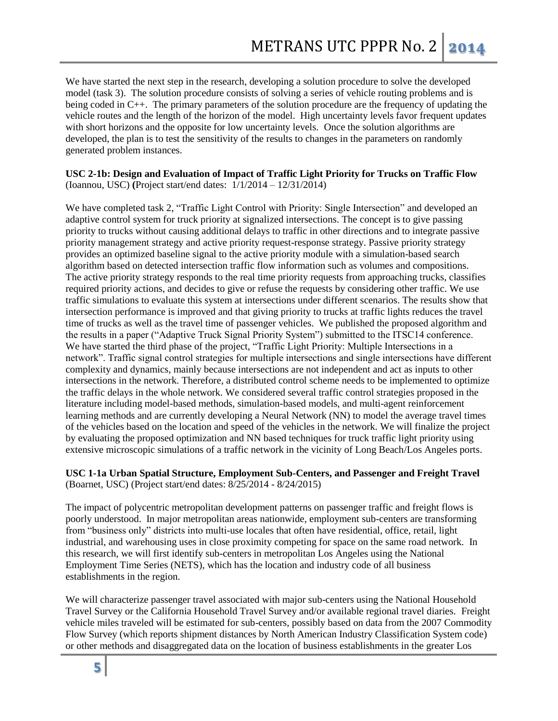We have started the next step in the research, developing a solution procedure to solve the developed model (task 3). The solution procedure consists of solving a series of vehicle routing problems and is being coded in C++. The primary parameters of the solution procedure are the frequency of updating the vehicle routes and the length of the horizon of the model. High uncertainty levels favor frequent updates with short horizons and the opposite for low uncertainty levels. Once the solution algorithms are developed, the plan is to test the sensitivity of the results to changes in the parameters on randomly generated problem instances.

#### **USC 2-1b: Design and Evaluation of Impact of Traffic Light Priority for Trucks on Traffic Flow** (Ioannou, USC) **(**Project start/end dates: 1/1/2014 – 12/31/2014)

We have completed task 2, "Traffic Light Control with Priority: Single Intersection" and developed an adaptive control system for truck priority at signalized intersections. The concept is to give passing priority to trucks without causing additional delays to traffic in other directions and to integrate passive priority management strategy and active priority request-response strategy. Passive priority strategy provides an optimized baseline signal to the active priority module with a simulation-based search algorithm based on detected intersection traffic flow information such as volumes and compositions. The active priority strategy responds to the real time priority requests from approaching trucks, classifies required priority actions, and decides to give or refuse the requests by considering other traffic. We use traffic simulations to evaluate this system at intersections under different scenarios. The results show that intersection performance is improved and that giving priority to trucks at traffic lights reduces the travel time of trucks as well as the travel time of passenger vehicles. We published the proposed algorithm and the results in a paper ("Adaptive Truck Signal Priority System") submitted to the ITSC14 conference. We have started the third phase of the project, "Traffic Light Priority: Multiple Intersections in a network". Traffic signal control strategies for multiple intersections and single intersections have different complexity and dynamics, mainly because intersections are not independent and act as inputs to other intersections in the network. Therefore, a distributed control scheme needs to be implemented to optimize the traffic delays in the whole network. We considered several traffic control strategies proposed in the literature including model-based methods, simulation-based models, and multi-agent reinforcement learning methods and are currently developing a Neural Network (NN) to model the average travel times of the vehicles based on the location and speed of the vehicles in the network. We will finalize the project by evaluating the proposed optimization and NN based techniques for truck traffic light priority using extensive microscopic simulations of a traffic network in the vicinity of Long Beach/Los Angeles ports.

## **USC 1-1a Urban Spatial Structure, Employment Sub-Centers, and Passenger and Freight Travel**  (Boarnet, USC) (Project start/end dates: 8/25/2014 - 8/24/2015)

The impact of polycentric metropolitan development patterns on passenger traffic and freight flows is poorly understood. In major metropolitan areas nationwide, employment sub-centers are transforming from "business only" districts into multi-use locales that often have residential, office, retail, light industrial, and warehousing uses in close proximity competing for space on the same road network. In this research, we will first identify sub-centers in metropolitan Los Angeles using the National Employment Time Series (NETS), which has the location and industry code of all business establishments in the region.

We will characterize passenger travel associated with major sub-centers using the National Household Travel Survey or the California Household Travel Survey and/or available regional travel diaries. Freight vehicle miles traveled will be estimated for sub-centers, possibly based on data from the 2007 Commodity Flow Survey (which reports shipment distances by North American Industry Classification System code) or other methods and disaggregated data on the location of business establishments in the greater Los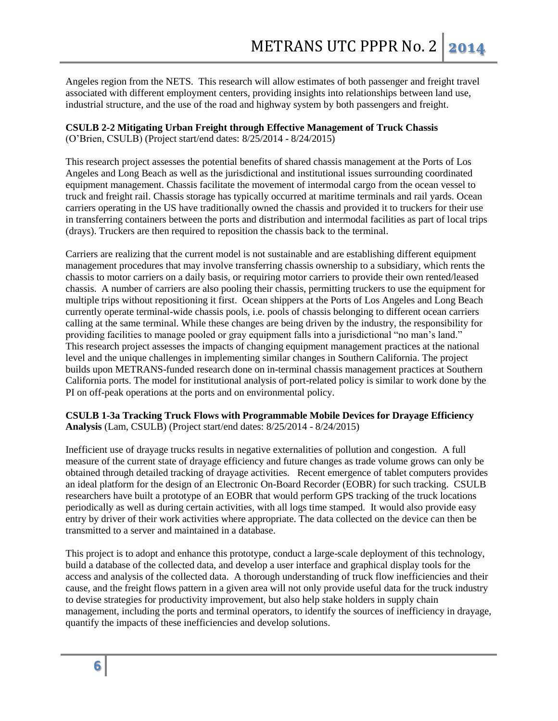Angeles region from the NETS. This research will allow estimates of both passenger and freight travel associated with different employment centers, providing insights into relationships between land use, industrial structure, and the use of the road and highway system by both passengers and freight.

## **CSULB 2-2 Mitigating Urban Freight through Effective Management of Truck Chassis**

(O'Brien, CSULB) (Project start/end dates: 8/25/2014 - 8/24/2015)

This research project assesses the potential benefits of shared chassis management at the Ports of Los Angeles and Long Beach as well as the jurisdictional and institutional issues surrounding coordinated equipment management. Chassis facilitate the movement of intermodal cargo from the ocean vessel to truck and freight rail. Chassis storage has typically occurred at maritime terminals and rail yards. Ocean carriers operating in the US have traditionally owned the chassis and provided it to truckers for their use in transferring containers between the ports and distribution and intermodal facilities as part of local trips (drays). Truckers are then required to reposition the chassis back to the terminal.

Carriers are realizing that the current model is not sustainable and are establishing different equipment management procedures that may involve transferring chassis ownership to a subsidiary, which rents the chassis to motor carriers on a daily basis, or requiring motor carriers to provide their own rented/leased chassis. A number of carriers are also pooling their chassis, permitting truckers to use the equipment for multiple trips without repositioning it first. Ocean shippers at the Ports of Los Angeles and Long Beach currently operate terminal-wide chassis pools, i.e. pools of chassis belonging to different ocean carriers calling at the same terminal. While these changes are being driven by the industry, the responsibility for providing facilities to manage pooled or gray equipment falls into a jurisdictional "no man's land." This research project assesses the impacts of changing equipment management practices at the national level and the unique challenges in implementing similar changes in Southern California. The project builds upon METRANS-funded research done on in-terminal chassis management practices at Southern California ports. The model for institutional analysis of port-related policy is similar to work done by the PI on off-peak operations at the ports and on environmental policy.

## **CSULB 1-3a Tracking Truck Flows with Programmable Mobile Devices for Drayage Efficiency Analysis** (Lam, CSULB) (Project start/end dates: 8/25/2014 - 8/24/2015)

Inefficient use of drayage trucks results in negative externalities of pollution and congestion. A full measure of the current state of drayage efficiency and future changes as trade volume grows can only be obtained through detailed tracking of drayage activities. Recent emergence of tablet computers provides an ideal platform for the design of an Electronic On-Board Recorder (EOBR) for such tracking. CSULB researchers have built a prototype of an EOBR that would perform GPS tracking of the truck locations periodically as well as during certain activities, with all logs time stamped. It would also provide easy entry by driver of their work activities where appropriate. The data collected on the device can then be transmitted to a server and maintained in a database.

This project is to adopt and enhance this prototype, conduct a large-scale deployment of this technology, build a database of the collected data, and develop a user interface and graphical display tools for the access and analysis of the collected data. A thorough understanding of truck flow inefficiencies and their cause, and the freight flows pattern in a given area will not only provide useful data for the truck industry to devise strategies for productivity improvement, but also help stake holders in supply chain management, including the ports and terminal operators, to identify the sources of inefficiency in drayage, quantify the impacts of these inefficiencies and develop solutions.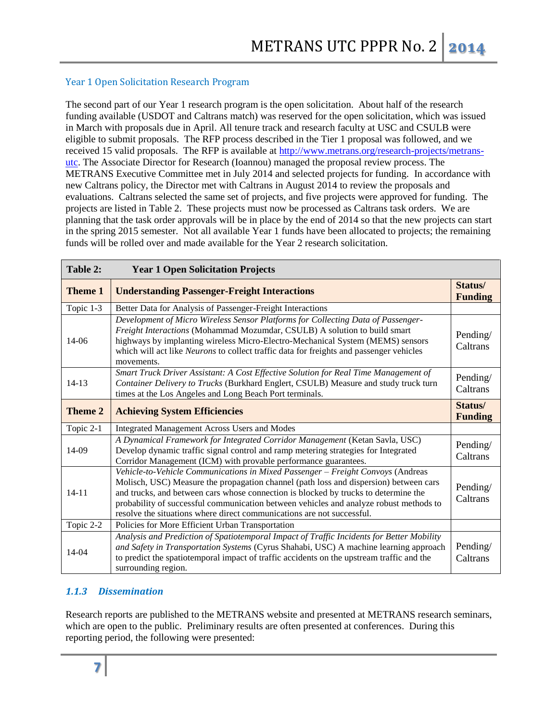## Year 1 Open Solicitation Research Program

The second part of our Year 1 research program is the open solicitation. About half of the research funding available (USDOT and Caltrans match) was reserved for the open solicitation, which was issued in March with proposals due in April. All tenure track and research faculty at USC and CSULB were eligible to submit proposals. The RFP process described in the Tier 1 proposal was followed, and we received 15 valid proposals. The RFP is available at [http://www.metrans.org/research-projects/metrans](http://www.metrans.org/research-projects/metrans-utc)[utc.](http://www.metrans.org/research-projects/metrans-utc) The Associate Director for Research (Ioannou) managed the proposal review process. The METRANS Executive Committee met in July 2014 and selected projects for funding. In accordance with new Caltrans policy, the Director met with Caltrans in August 2014 to review the proposals and evaluations. Caltrans selected the same set of projects, and five projects were approved for funding. The projects are listed in Table 2. These projects must now be processed as Caltrans task orders. We are planning that the task order approvals will be in place by the end of 2014 so that the new projects can start in the spring 2015 semester. Not all available Year 1 funds have been allocated to projects; the remaining funds will be rolled over and made available for the Year 2 research solicitation.

| Table 2:       | <b>Year 1 Open Solicitation Projects</b>                                                                                                                                                                                                                                                                                                                                                                                            |                           |
|----------------|-------------------------------------------------------------------------------------------------------------------------------------------------------------------------------------------------------------------------------------------------------------------------------------------------------------------------------------------------------------------------------------------------------------------------------------|---------------------------|
| <b>Theme 1</b> | <b>Understanding Passenger-Freight Interactions</b>                                                                                                                                                                                                                                                                                                                                                                                 | Status/<br><b>Funding</b> |
| Topic 1-3      | Better Data for Analysis of Passenger-Freight Interactions                                                                                                                                                                                                                                                                                                                                                                          |                           |
| 14-06          | Development of Micro Wireless Sensor Platforms for Collecting Data of Passenger-<br>Freight Interactions (Mohammad Mozumdar, CSULB) A solution to build smart<br>highways by implanting wireless Micro-Electro-Mechanical System (MEMS) sensors<br>which will act like Neurons to collect traffic data for freights and passenger vehicles<br>movements.                                                                            | Pending/<br>Caltrans      |
| $14 - 13$      | Smart Truck Driver Assistant: A Cost Effective Solution for Real Time Management of<br>Container Delivery to Trucks (Burkhard Englert, CSULB) Measure and study truck turn<br>times at the Los Angeles and Long Beach Port terminals.                                                                                                                                                                                               | Pending/<br>Caltrans      |
| <b>Theme 2</b> | <b>Achieving System Efficiencies</b>                                                                                                                                                                                                                                                                                                                                                                                                | Status/<br><b>Funding</b> |
| Topic 2-1      | <b>Integrated Management Across Users and Modes</b>                                                                                                                                                                                                                                                                                                                                                                                 |                           |
| 14-09          | A Dynamical Framework for Integrated Corridor Management (Ketan Savla, USC)<br>Develop dynamic traffic signal control and ramp metering strategies for Integrated<br>Corridor Management (ICM) with provable performance guarantees.                                                                                                                                                                                                | Pending/<br>Caltrans      |
| $14 - 11$      | Vehicle-to-Vehicle Communications in Mixed Passenger - Freight Convoys (Andreas<br>Molisch, USC) Measure the propagation channel (path loss and dispersion) between cars<br>and trucks, and between cars whose connection is blocked by trucks to determine the<br>probability of successful communication between vehicles and analyze robust methods to<br>resolve the situations where direct communications are not successful. | Pending/<br>Caltrans      |
| Topic 2-2      | Policies for More Efficient Urban Transportation                                                                                                                                                                                                                                                                                                                                                                                    |                           |
| 14-04          | Analysis and Prediction of Spatiotemporal Impact of Traffic Incidents for Better Mobility<br>and Safety in Transportation Systems (Cyrus Shahabi, USC) A machine learning approach<br>to predict the spatiotemporal impact of traffic accidents on the upstream traffic and the<br>surrounding region.                                                                                                                              | Pending/<br>Caltrans      |

## *1.1.3 Dissemination*

Research reports are published to the METRANS website and presented at METRANS research seminars, which are open to the public. Preliminary results are often presented at conferences. During this reporting period, the following were presented: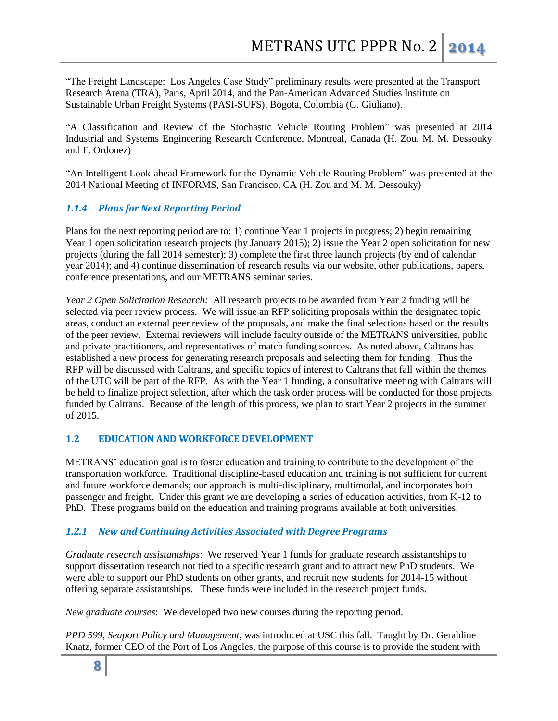"The Freight Landscape: Los Angeles Case Study" preliminary results were presented at the Transport Research Arena (TRA), Paris, April 2014, and the Pan-American Advanced Studies Institute on Sustainable Urban Freight Systems (PASI-SUFS), Bogota, Colombia (G. Giuliano).

"A Classification and Review of the Stochastic Vehicle Routing Problem" was presented at 2014 Industrial and Systems Engineering Research Conference, Montreal, Canada (H. Zou, M. M. Dessouky and F. Ordonez)

"An Intelligent Look-ahead Framework for the Dynamic Vehicle Routing Problem" was presented at the 2014 National Meeting of INFORMS, San Francisco, CA (H. Zou and M. M. Dessouky)

## *1.1.4 Plans for Next Reporting Period*

Plans for the next reporting period are to: 1) continue Year 1 projects in progress; 2) begin remaining Year 1 open solicitation research projects (by January 2015); 2) issue the Year 2 open solicitation for new projects (during the fall 2014 semester); 3) complete the first three launch projects (by end of calendar year 2014); and 4) continue dissemination of research results via our website, other publications, papers, conference presentations, and our METRANS seminar series.

*Year 2 Open Solicitation Research:* All research projects to be awarded from Year 2 funding will be selected via peer review process. We will issue an RFP soliciting proposals within the designated topic areas, conduct an external peer review of the proposals, and make the final selections based on the results of the peer review. External reviewers will include faculty outside of the METRANS universities, public and private practitioners, and representatives of match funding sources. As noted above, Caltrans has established a new process for generating research proposals and selecting them for funding. Thus the RFP will be discussed with Caltrans, and specific topics of interest to Caltrans that fall within the themes of the UTC will be part of the RFP. As with the Year 1 funding, a consultative meeting with Caltrans will be held to finalize project selection, after which the task order process will be conducted for those projects funded by Caltrans. Because of the length of this process, we plan to start Year 2 projects in the summer of 2015.

## **1.2 EDUCATION AND WORKFORCE DEVELOPMENT**

METRANS' education goal is to foster education and training to contribute to the development of the transportation workforce. Traditional discipline-based education and training is not sufficient for current and future workforce demands; our approach is multi-disciplinary, multimodal, and incorporates both passenger and freight. Under this grant we are developing a series of education activities, from K-12 to PhD. These programs build on the education and training programs available at both universities.

## *1.2.1 New and Continuing Activities Associated with Degree Programs*

*Graduate research assistantships*: We reserved Year 1 funds for graduate research assistantships to support dissertation research not tied to a specific research grant and to attract new PhD students. We were able to support our PhD students on other grants, and recruit new students for 2014-15 without offering separate assistantships. These funds were included in the research project funds.

*New graduate courses*: We developed two new courses during the reporting period.

*PPD 599, Seaport Policy and Management*, was introduced at USC this fall. Taught by Dr. Geraldine Knatz, former CEO of the Port of Los Angeles, the purpose of this course is to provide the student with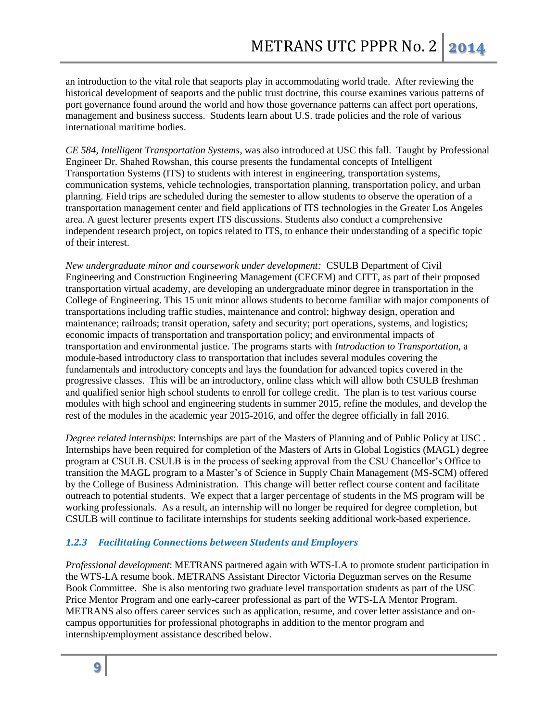an introduction to the vital role that seaports play in accommodating world trade. After reviewing the historical development of seaports and the public trust doctrine, this course examines various patterns of port governance found around the world and how those governance patterns can affect port operations, management and business success. Students learn about U.S. trade policies and the role of various international maritime bodies.

*CE 584, Intelligent Transportation Systems*, was also introduced at USC this fall. Taught by Professional Engineer Dr. Shahed Rowshan, this course presents the fundamental concepts of Intelligent Transportation Systems (ITS) to students with interest in engineering, transportation systems, communication systems, vehicle technologies, transportation planning, transportation policy, and urban planning. Field trips are scheduled during the semester to allow students to observe the operation of a transportation management center and field applications of ITS technologies in the Greater Los Angeles area. A guest lecturer presents expert ITS discussions. Students also conduct a comprehensive independent research project, on topics related to ITS, to enhance their understanding of a specific topic of their interest.

*New undergraduate minor and coursework under development:* CSULB Department of Civil Engineering and Construction Engineering Management (CECEM) and CITT, as part of their proposed transportation virtual academy, are developing an undergraduate minor degree in transportation in the College of Engineering. This 15 unit minor allows students to become familiar with major components of transportations including traffic studies, maintenance and control; highway design, operation and maintenance; railroads; transit operation, safety and security; port operations, systems, and logistics; economic impacts of transportation and transportation policy; and environmental impacts of transportation and environmental justice. The programs starts with *Introduction to Transportation*, a module-based introductory class to transportation that includes several modules covering the fundamentals and introductory concepts and lays the foundation for advanced topics covered in the progressive classes. This will be an introductory, online class which will allow both CSULB freshman and qualified senior high school students to enroll for college credit. The plan is to test various course modules with high school and engineering students in summer 2015, refine the modules, and develop the rest of the modules in the academic year 2015-2016, and offer the degree officially in fall 2016.

*Degree related internships*: Internships are part of the Masters of Planning and of Public Policy at USC . Internships have been required for completion of the Masters of Arts in Global Logistics (MAGL) degree program at CSULB. CSULB is in the process of seeking approval from the CSU Chancellor's Office to transition the MAGL program to a Master's of Science in Supply Chain Management (MS-SCM) offered by the College of Business Administration. This change will better reflect course content and facilitate outreach to potential students. We expect that a larger percentage of students in the MS program will be working professionals. As a result, an internship will no longer be required for degree completion, but CSULB will continue to facilitate internships for students seeking additional work-based experience.

## *1.2.3 Facilitating Connections between Students and Employers*

*Professional development*: METRANS partnered again with WTS-LA to promote student participation in the WTS-LA resume book. METRANS Assistant Director Victoria Deguzman serves on the Resume Book Committee. She is also mentoring two graduate level transportation students as part of the USC Price Mentor Program and one early-career professional as part of the WTS-LA Mentor Program. METRANS also offers career services such as application, resume, and cover letter assistance and oncampus opportunities for professional photographs in addition to the mentor program and internship/employment assistance described below.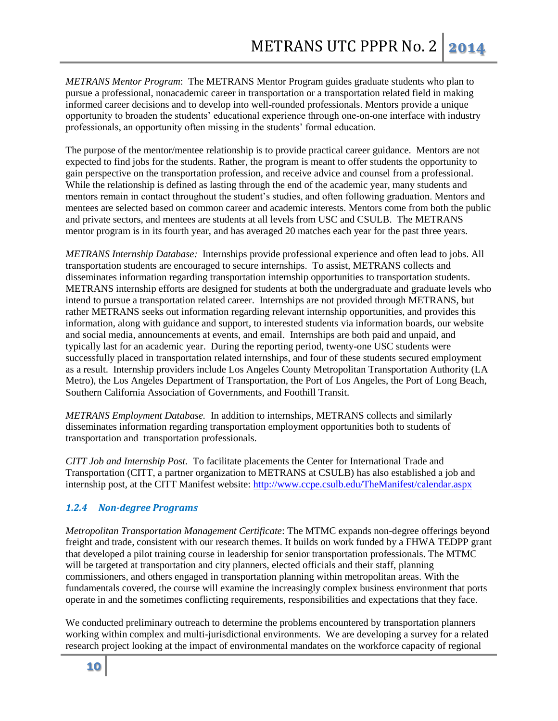*METRANS Mentor Program*: The METRANS Mentor Program guides graduate students who plan to pursue a professional, nonacademic career in transportation or a transportation related field in making informed career decisions and to develop into well-rounded professionals. Mentors provide a unique opportunity to broaden the students' educational experience through one-on-one interface with industry professionals, an opportunity often missing in the students' formal education.

The purpose of the mentor/mentee relationship is to provide practical career guidance. Mentors are not expected to find jobs for the students. Rather, the program is meant to offer students the opportunity to gain perspective on the transportation profession, and receive advice and counsel from a professional. While the relationship is defined as lasting through the end of the academic year, many students and mentors remain in contact throughout the student's studies, and often following graduation. Mentors and mentees are selected based on common career and academic interests. Mentors come from both the public and private sectors, and mentees are students at all levels from USC and CSULB. The METRANS mentor program is in its fourth year, and has averaged 20 matches each year for the past three years.

*METRANS Internship Database:* Internships provide professional experience and often lead to jobs. All transportation students are encouraged to secure internships.To assist, METRANS collects and disseminates information regarding transportation internship opportunities to transportation students. METRANS internship efforts are designed for students at both the undergraduate and graduate levels who intend to pursue a transportation related career. Internships are not provided through METRANS, but rather METRANS seeks out information regarding relevant internship opportunities, and provides this information, along with guidance and support, to interested students via information boards, our website and social media, announcements at events, and email. Internships are both paid and unpaid, and typically last for an academic year. During the reporting period, twenty-one USC students were successfully placed in transportation related internships, and four of these students secured employment as a result. Internship providers include Los Angeles County Metropolitan Transportation Authority (LA Metro), the Los Angeles Department of Transportation, the Port of Los Angeles, the Port of Long Beach, Southern California Association of Governments, and Foothill Transit.

*METRANS Employment Database.* In addition to internships, METRANS collects and similarly disseminates information regarding transportation employment opportunities both to students of transportation and transportation professionals.

*CITT Job and Internship Post.* To facilitate placements the Center for International Trade and Transportation (CITT, a partner organization to METRANS at CSULB) has also established a job and internship post, at the CITT Manifest website:<http://www.ccpe.csulb.edu/TheManifest/calendar.aspx>

## *1.2.4 Non-degree Programs*

*Metropolitan Transportation Management Certificate*: The MTMC expands non-degree offerings beyond freight and trade, consistent with our research themes. It builds on work funded by a FHWA TEDPP grant that developed a pilot training course in leadership for senior transportation professionals. The MTMC will be targeted at transportation and city planners, elected officials and their staff, planning commissioners, and others engaged in transportation planning within metropolitan areas. With the fundamentals covered, the course will examine the increasingly complex business environment that ports operate in and the sometimes conflicting requirements, responsibilities and expectations that they face.

We conducted preliminary outreach to determine the problems encountered by transportation planners working within complex and multi-jurisdictional environments. We are developing a survey for a related research project looking at the impact of environmental mandates on the workforce capacity of regional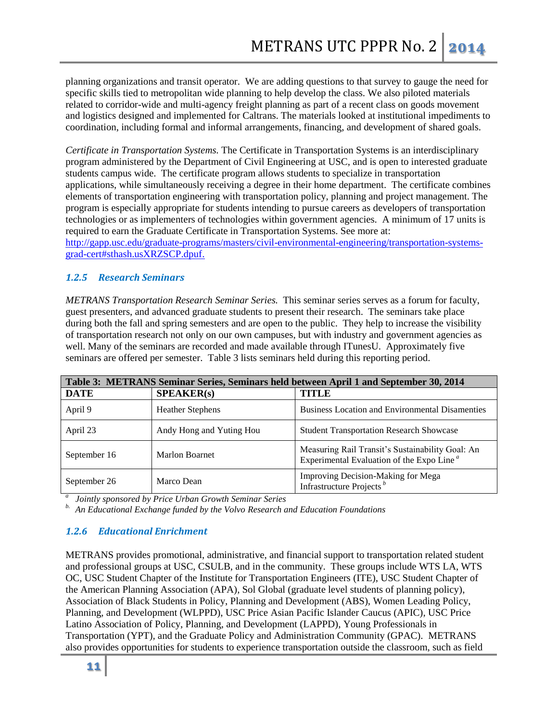planning organizations and transit operator. We are adding questions to that survey to gauge the need for specific skills tied to metropolitan wide planning to help develop the class. We also piloted materials related to corridor-wide and multi-agency freight planning as part of a recent class on goods movement and logistics designed and implemented for Caltrans. The materials looked at institutional impediments to coordination, including formal and informal arrangements, financing, and development of shared goals.

*Certificate in Transportation Systems.* The Certificate in Transportation Systems is an interdisciplinary program administered by the Department of Civil Engineering at USC, and is open to interested graduate students campus wide. The certificate program allows students to specialize in transportation applications, while simultaneously receiving a degree in their home department. The certificate combines elements of transportation engineering with transportation policy, planning and project management. The program is especially appropriate for students intending to pursue careers as developers of transportation technologies or as implementers of technologies within government agencies. A minimum of 17 units is required to earn the Graduate Certificate in Transportation Systems. See more at:

[http://gapp.usc.edu/graduate-programs/masters/civil-environmental-engineering/transportation-systems](http://gapp.usc.edu/graduate-programs/masters/civil-environmental-engineering/transportation-systems-grad-cert#sthash.usXRZSCP.dpuf)[grad-cert#sthash.usXRZSCP.dpuf.](http://gapp.usc.edu/graduate-programs/masters/civil-environmental-engineering/transportation-systems-grad-cert#sthash.usXRZSCP.dpuf)

## *1.2.5 Research Seminars*

*METRANS Transportation Research Seminar Series.* This seminar series serves as a forum for faculty, guest presenters, and advanced graduate students to present their research. The seminars take place during both the fall and spring semesters and are open to the public. They help to increase the visibility of transportation research not only on our own campuses, but with industry and government agencies as well. Many of the seminars are recorded and made available through ITunesU. Approximately five seminars are offered per semester. Table 3 lists seminars held during this reporting period.

| Table 3: METRANS Seminar Series, Seminars held between April 1 and September 30, 2014 |                          |                                                                                                           |  |  |
|---------------------------------------------------------------------------------------|--------------------------|-----------------------------------------------------------------------------------------------------------|--|--|
| <b>DATE</b>                                                                           | SPEAKER(s)               | <b>TITLE</b>                                                                                              |  |  |
| April 9                                                                               | <b>Heather Stephens</b>  | <b>Business Location and Environmental Disamenties</b>                                                    |  |  |
| April 23                                                                              | Andy Hong and Yuting Hou | <b>Student Transportation Research Showcase</b>                                                           |  |  |
| September 16                                                                          | <b>Marlon Boarnet</b>    | Measuring Rail Transit's Sustainability Goal: An<br>Experimental Evaluation of the Expo Line <sup>a</sup> |  |  |
| September 26                                                                          | Marco Dean               | Improving Decision-Making for Mega<br>Infrastructure Projects <sup>b</sup>                                |  |  |

*a Jointly sponsored by Price Urban Growth Seminar Series*

*b. An Educational Exchange funded by the Volvo Research and Education Foundations*

## *1.2.6 Educational Enrichment*

METRANS provides promotional, administrative, and financial support to transportation related student and professional groups at USC, CSULB, and in the community. These groups include WTS LA, WTS OC, USC Student Chapter of the Institute for Transportation Engineers (ITE), USC Student Chapter of the American Planning Association (APA), Sol Global (graduate level students of planning policy), Association of Black Students in Policy, Planning and Development (ABS), Women Leading Policy, Planning, and Development (WLPPD), USC Price Asian Pacific Islander Caucus (APIC), USC Price Latino Association of Policy, Planning, and Development (LAPPD), Young Professionals in Transportation (YPT), and the Graduate Policy and Administration Community (GPAC). METRANS also provides opportunities for students to experience transportation outside the classroom, such as field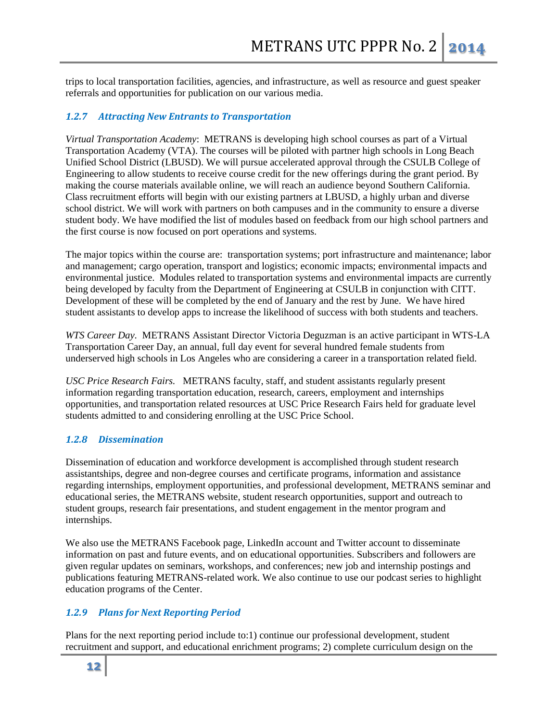trips to local transportation facilities, agencies, and infrastructure, as well as resource and guest speaker referrals and opportunities for publication on our various media.

## *1.2.7 Attracting New Entrants to Transportation*

*Virtual Transportation Academy*: METRANS is developing high school courses as part of a Virtual Transportation Academy (VTA). The courses will be piloted with partner high schools in Long Beach Unified School District (LBUSD). We will pursue accelerated approval through the CSULB College of Engineering to allow students to receive course credit for the new offerings during the grant period. By making the course materials available online, we will reach an audience beyond Southern California. Class recruitment efforts will begin with our existing partners at LBUSD, a highly urban and diverse school district. We will work with partners on both campuses and in the community to ensure a diverse student body. We have modified the list of modules based on feedback from our high school partners and the first course is now focused on port operations and systems.

The major topics within the course are: transportation systems; port infrastructure and maintenance; labor and management; cargo operation, transport and logistics; economic impacts; environmental impacts and environmental justice. Modules related to transportation systems and environmental impacts are currently being developed by faculty from the Department of Engineering at CSULB in conjunction with CITT. Development of these will be completed by the end of January and the rest by June. We have hired student assistants to develop apps to increase the likelihood of success with both students and teachers.

*WTS Career Day.* METRANS Assistant Director Victoria Deguzman is an active participant in WTS-LA Transportation Career Day, an annual, full day event for several hundred female students from underserved high schools in Los Angeles who are considering a career in a transportation related field.

*USC Price Research Fairs.* METRANS faculty, staff, and student assistants regularly present information regarding transportation education, research, careers, employment and internships opportunities, and transportation related resources at USC Price Research Fairs held for graduate level students admitted to and considering enrolling at the USC Price School.

#### *1.2.8 Dissemination*

Dissemination of education and workforce development is accomplished through student research assistantships, degree and non-degree courses and certificate programs, information and assistance regarding internships, employment opportunities, and professional development, METRANS seminar and educational series, the METRANS website, student research opportunities, support and outreach to student groups, research fair presentations, and student engagement in the mentor program and internships.

We also use the METRANS Facebook page, LinkedIn account and Twitter account to disseminate information on past and future events, and on educational opportunities. Subscribers and followers are given regular updates on seminars, workshops, and conferences; new job and internship postings and publications featuring METRANS-related work. We also continue to use our podcast series to highlight education programs of the Center.

## *1.2.9 Plans for Next Reporting Period*

Plans for the next reporting period include to:1) continue our professional development, student recruitment and support, and educational enrichment programs; 2) complete curriculum design on the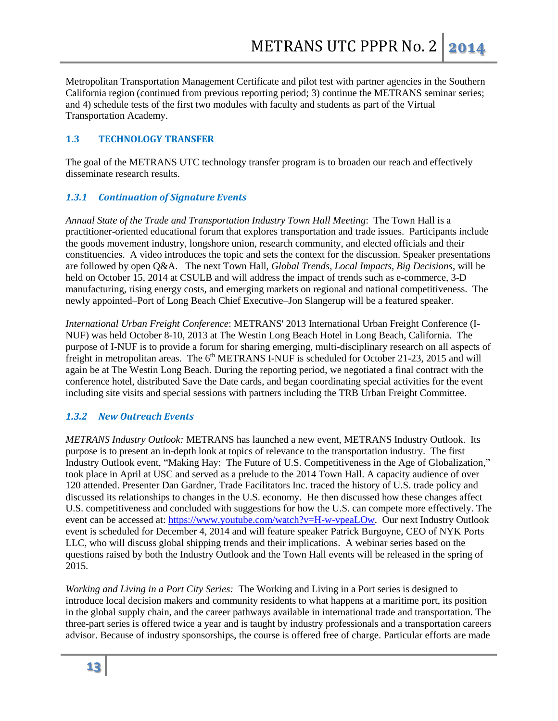Metropolitan Transportation Management Certificate and pilot test with partner agencies in the Southern California region (continued from previous reporting period; 3) continue the METRANS seminar series; and 4) schedule tests of the first two modules with faculty and students as part of the Virtual Transportation Academy.

#### **1.3 TECHNOLOGY TRANSFER**

The goal of the METRANS UTC technology transfer program is to broaden our reach and effectively disseminate research results.

## *1.3.1 Continuation of Signature Events*

*Annual State of the Trade and Transportation Industry Town Hall Meeting*: The Town Hall is a practitioner-oriented educational forum that explores transportation and trade issues. Participants include the goods movement industry, longshore union, research community, and elected officials and their constituencies. A video introduces the topic and sets the context for the discussion. Speaker presentations are followed by open Q&A. The next Town Hall, *Global Trends, Local Impacts, Big Decisions*, will be held on October 15, 2014 at CSULB and will address the impact of trends such as e-commerce, 3-D manufacturing, rising energy costs, and emerging markets on regional and national competitiveness. The newly appointed–Port of Long Beach Chief Executive–Jon Slangerup will be a featured speaker.

*International Urban Freight Conference*: METRANS' 2013 International Urban Freight Conference (I-NUF) was held October 8-10, 2013 at The Westin Long Beach Hotel in Long Beach, California. The purpose of I-NUF is to provide a forum for sharing emerging, multi-disciplinary research on all aspects of freight in metropolitan areas. The  $6<sup>th</sup>$  METRANS I-NUF is scheduled for October 21-23, 2015 and will again be at The Westin Long Beach. During the reporting period, we negotiated a final contract with the conference hotel, distributed Save the Date cards, and began coordinating special activities for the event including site visits and special sessions with partners including the TRB Urban Freight Committee.

#### *1.3.2 New Outreach Events*

*METRANS Industry Outlook:* METRANS has launched a new event, METRANS Industry Outlook. Its purpose is to present an in-depth look at topics of relevance to the transportation industry. The first Industry Outlook event, "Making Hay: The Future of U.S. Competitiveness in the Age of Globalization," took place in April at USC and served as a prelude to the 2014 Town Hall. A capacity audience of over 120 attended. Presenter Dan Gardner, Trade Facilitators Inc. traced the history of U.S. trade policy and discussed its relationships to changes in the U.S. economy. He then discussed how these changes affect U.S. competitiveness and concluded with suggestions for how the U.S. can compete more effectively. The event can be accessed at: [https://www.youtube.com/watch?v=H-w-vpeaLOw.](https://www.youtube.com/watch?v=H-w-vpeaLOw) Our next Industry Outlook event is scheduled for December 4, 2014 and will feature speaker Patrick Burgoyne, CEO of NYK Ports LLC, who will discuss global shipping trends and their implications. A webinar series based on the questions raised by both the Industry Outlook and the Town Hall events will be released in the spring of 2015.

*Working and Living in a Port City Series:* The Working and Living in a Port series is designed to introduce local decision makers and community residents to what happens at a maritime port, its position in the global supply chain, and the career pathways available in international trade and transportation. The three-part series is offered twice a year and is taught by industry professionals and a transportation careers advisor. Because of industry sponsorships, the course is offered free of charge. Particular efforts are made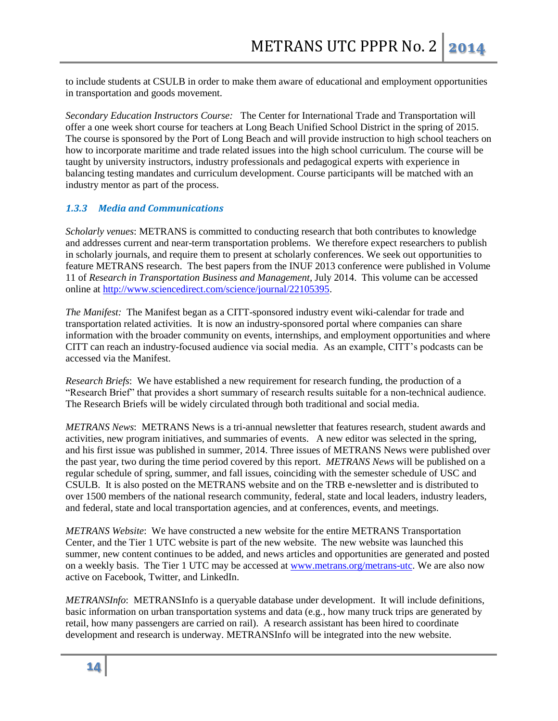to include students at CSULB in order to make them aware of educational and employment opportunities in transportation and goods movement.

*Secondary Education Instructors Course:* The Center for International Trade and Transportation will offer a one week short course for teachers at Long Beach Unified School District in the spring of 2015. The course is sponsored by the Port of Long Beach and will provide instruction to high school teachers on how to incorporate maritime and trade related issues into the high school curriculum. The course will be taught by university instructors, industry professionals and pedagogical experts with experience in balancing testing mandates and curriculum development. Course participants will be matched with an industry mentor as part of the process.

## *1.3.3 Media and Communications*

*Scholarly venues*: METRANS is committed to conducting research that both contributes to knowledge and addresses current and near-term transportation problems. We therefore expect researchers to publish in scholarly journals, and require them to present at scholarly conferences. We seek out opportunities to feature METRANS research. The best papers from the INUF 2013 conference were published in Volume 11 of *Research in Transportation Business and Management,* July 2014. This volume can be accessed online at [http://www.sciencedirect.com/science/journal/22105395.](http://www.sciencedirect.com/science/journal/22105395)

*The Manifest:* The Manifest began as a CITT-sponsored industry event wiki-calendar for trade and transportation related activities. It is now an industry-sponsored portal where companies can share information with the broader community on events, internships, and employment opportunities and where CITT can reach an industry-focused audience via social media. As an example, CITT's podcasts can be accessed via the Manifest.

*Research Briefs*: We have established a new requirement for research funding, the production of a "Research Brief" that provides a short summary of research results suitable for a non-technical audience. The Research Briefs will be widely circulated through both traditional and social media.

*METRANS News*: METRANS News is a tri-annual newsletter that features research, student awards and activities, new program initiatives, and summaries of events. A new editor was selected in the spring, and his first issue was published in summer, 2014. Three issues of METRANS News were published over the past year, two during the time period covered by this report. *METRANS News* will be published on a regular schedule of spring, summer, and fall issues, coinciding with the semester schedule of USC and CSULB. It is also posted on the METRANS website and on the TRB e-newsletter and is distributed to over 1500 members of the national research community, federal, state and local leaders, industry leaders, and federal, state and local transportation agencies, and at conferences, events, and meetings.

*METRANS Website*: We have constructed a new website for the entire METRANS Transportation Center, and the Tier 1 UTC website is part of the new website. The new website was launched this summer, new content continues to be added, and news articles and opportunities are generated and posted on a weekly basis. The Tier 1 UTC may be accessed at [www.metrans.org/metrans-utc.](http://www.metrans.org/metrans-utc) We are also now active on Facebook, Twitter, and LinkedIn.

*METRANSInfo*: METRANSInfo is a queryable database under development. It will include definitions, basic information on urban transportation systems and data (e.g., how many truck trips are generated by retail, how many passengers are carried on rail). A research assistant has been hired to coordinate development and research is underway. METRANSInfo will be integrated into the new website.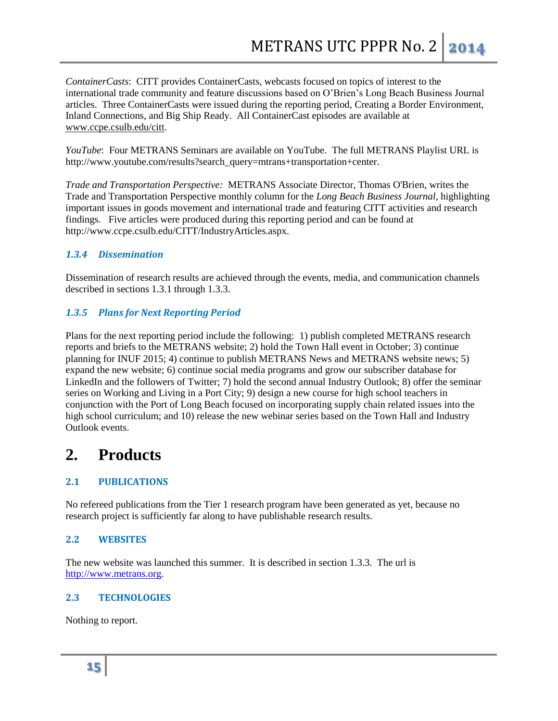*ContainerCasts*: CITT provides ContainerCasts, webcasts focused on topics of interest to the international trade community and feature discussions based on O'Brien's Long Beach Business Journal articles. Three ContainerCasts were issued during the reporting period, Creating a Border Environment, Inland Connections, and Big Ship Ready. All ContainerCast episodes are available at [www.ccpe.csulb.edu/citt.](http://www.ccpe.csulb.edu/citt)

*YouTube*: Four METRANS Seminars are available on YouTube. The full METRANS Playlist URL is http://www.youtube.com/results?search\_query=mtrans+transportation+center.

*Trade and Transportation Perspective:* METRANS Associate Director, Thomas O'Brien, writes the Trade and Transportation Perspective monthly column for the *Long Beach Business Journal*, highlighting important issues in goods movement and international trade and featuring CITT activities and research findings. Five articles were produced during this reporting period and can be found at http://www.ccpe.csulb.edu/CITT/IndustryArticles.aspx.

## *1.3.4 Dissemination*

Dissemination of research results are achieved through the events, media, and communication channels described in sections 1.3.1 through 1.3.3.

## *1.3.5 Plans for Next Reporting Period*

Plans for the next reporting period include the following: 1) publish completed METRANS research reports and briefs to the METRANS website; 2) hold the Town Hall event in October; 3) continue planning for INUF 2015; 4) continue to publish METRANS News and METRANS website news; 5) expand the new website; 6) continue social media programs and grow our subscriber database for LinkedIn and the followers of Twitter; 7) hold the second annual Industry Outlook; 8) offer the seminar series on Working and Living in a Port City; 9) design a new course for high school teachers in conjunction with the Port of Long Beach focused on incorporating supply chain related issues into the high school curriculum; and 10) release the new webinar series based on the Town Hall and Industry Outlook events.

## **2. Products**

## **2.1 PUBLICATIONS**

No refereed publications from the Tier 1 research program have been generated as yet, because no research project is sufficiently far along to have publishable research results.

## **2.2 WEBSITES**

The new website was launched this summer. It is described in section 1.3.3. The url is [http://www.metrans.org.](http://www.metrans.org/)

## **2.3 TECHNOLOGIES**

Nothing to report.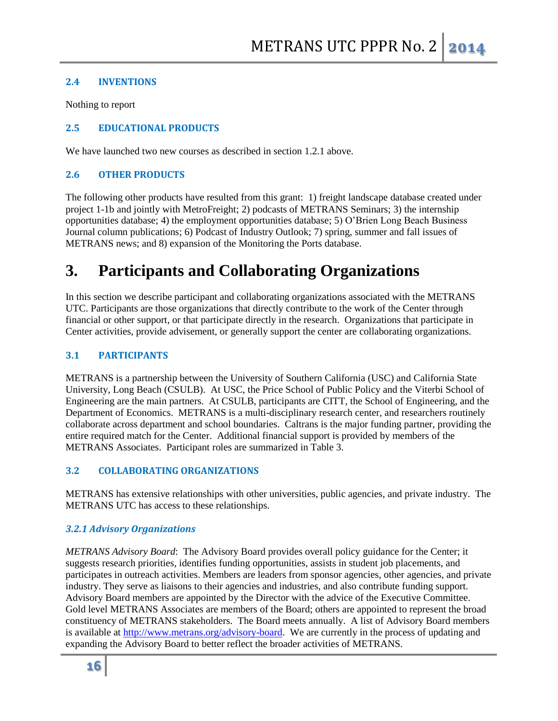## **2.4 INVENTIONS**

Nothing to report

## **2.5 EDUCATIONAL PRODUCTS**

We have launched two new courses as described in section 1.2.1 above.

## **2.6 OTHER PRODUCTS**

The following other products have resulted from this grant: 1) freight landscape database created under project 1-1b and jointly with MetroFreight; 2) podcasts of METRANS Seminars; 3) the internship opportunities database; 4) the employment opportunities database; 5) O'Brien Long Beach Business Journal column publications; 6) Podcast of Industry Outlook; 7) spring, summer and fall issues of METRANS news; and 8) expansion of the Monitoring the Ports database.

# **3. Participants and Collaborating Organizations**

In this section we describe participant and collaborating organizations associated with the METRANS UTC. Participants are those organizations that directly contribute to the work of the Center through financial or other support, or that participate directly in the research. Organizations that participate in Center activities, provide advisement, or generally support the center are collaborating organizations.

## **3.1 PARTICIPANTS**

METRANS is a partnership between the University of Southern California (USC) and California State University, Long Beach (CSULB). At USC, the Price School of Public Policy and the Viterbi School of Engineering are the main partners. At CSULB, participants are CITT, the School of Engineering, and the Department of Economics. METRANS is a multi-disciplinary research center, and researchers routinely collaborate across department and school boundaries. Caltrans is the major funding partner, providing the entire required match for the Center. Additional financial support is provided by members of the METRANS Associates. Participant roles are summarized in Table 3.

## **3.2 COLLABORATING ORGANIZATIONS**

METRANS has extensive relationships with other universities, public agencies, and private industry. The METRANS UTC has access to these relationships.

## *3.2.1 Advisory Organizations*

*METRANS Advisory Board*: The Advisory Board provides overall policy guidance for the Center; it suggests research priorities, identifies funding opportunities, assists in student job placements, and participates in outreach activities. Members are leaders from sponsor agencies, other agencies, and private industry. They serve as liaisons to their agencies and industries, and also contribute funding support. Advisory Board members are appointed by the Director with the advice of the Executive Committee. Gold level METRANS Associates are members of the Board; others are appointed to represent the broad constituency of METRANS stakeholders. The Board meets annually. A list of Advisory Board members is available at [http://www.metrans.org/advisory-board.](http://www.metrans.org/advisory-board) We are currently in the process of updating and expanding the Advisory Board to better reflect the broader activities of METRANS.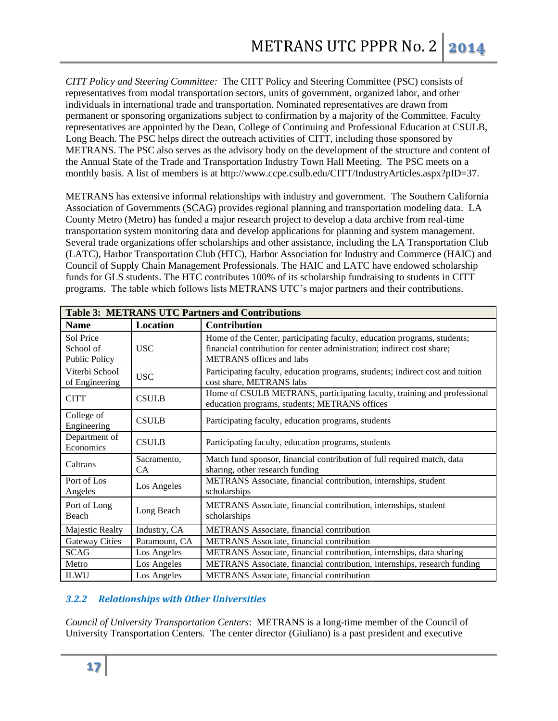*CITT Policy and Steering Committee:* The CITT Policy and Steering Committee (PSC) consists of representatives from modal transportation sectors, units of government, organized labor, and other individuals in international trade and transportation. Nominated representatives are drawn from permanent or sponsoring organizations subject to confirmation by a majority of the Committee. Faculty representatives are appointed by the Dean, College of Continuing and Professional Education at CSULB, Long Beach. The PSC helps direct the outreach activities of CITT, including those sponsored by METRANS. The PSC also serves as the advisory body on the development of the structure and content of the Annual State of the Trade and Transportation Industry Town Hall Meeting. The PSC meets on a monthly basis. A list of members is at http://www.ccpe.csulb.edu/CITT/IndustryArticles.aspx?pID=37.

METRANS has extensive informal relationships with industry and government. The Southern California Association of Governments (SCAG) provides regional planning and transportation modeling data. LA County Metro (Metro) has funded a major research project to develop a data archive from real-time transportation system monitoring data and develop applications for planning and system management. Several trade organizations offer scholarships and other assistance, including the LA Transportation Club (LATC), Harbor Transportation Club (HTC), Harbor Association for Industry and Commerce (HAIC) and Council of Supply Chain Management Professionals. The HAIC and LATC have endowed scholarship funds for GLS students. The HTC contributes 100% of its scholarship fundraising to students in CITT programs. The table which follows lists METRANS UTC's major partners and their contributions.

| <b>Table 3: METRANS UTC Partners and Contributions</b> |                   |                                                                                                                                                                                       |  |
|--------------------------------------------------------|-------------------|---------------------------------------------------------------------------------------------------------------------------------------------------------------------------------------|--|
| <b>Name</b>                                            | <b>Location</b>   | <b>Contribution</b>                                                                                                                                                                   |  |
| Sol Price<br>School of<br>Public Policy                | <b>USC</b>        | Home of the Center, participating faculty, education programs, students;<br>financial contribution for center administration; indirect cost share;<br><b>METRANS</b> offices and labs |  |
| Viterbi School<br>of Engineering                       | <b>USC</b>        | Participating faculty, education programs, students; indirect cost and tuition<br>cost share, METRANS labs                                                                            |  |
| <b>CITT</b>                                            | <b>CSULB</b>      | Home of CSULB METRANS, participating faculty, training and professional<br>education programs, students; METRANS offices                                                              |  |
| College of<br>Engineering                              | <b>CSULB</b>      | Participating faculty, education programs, students                                                                                                                                   |  |
| Department of<br>Economics                             | <b>CSULB</b>      | Participating faculty, education programs, students                                                                                                                                   |  |
| Caltrans                                               | Sacramento,<br>CA | Match fund sponsor, financial contribution of full required match, data<br>sharing, other research funding                                                                            |  |
| Port of Los<br>Angeles                                 | Los Angeles       | METRANS Associate, financial contribution, internships, student<br>scholarships                                                                                                       |  |
| Port of Long<br>Beach                                  | Long Beach        | METRANS Associate, financial contribution, internships, student<br>scholarships                                                                                                       |  |
| Majestic Realty                                        | Industry, CA      | METRANS Associate, financial contribution                                                                                                                                             |  |
| <b>Gateway Cities</b>                                  | Paramount, CA     | METRANS Associate, financial contribution                                                                                                                                             |  |
| <b>SCAG</b>                                            | Los Angeles       | METRANS Associate, financial contribution, internships, data sharing                                                                                                                  |  |
| Metro                                                  | Los Angeles       | METRANS Associate, financial contribution, internships, research funding                                                                                                              |  |
| <b>ILWU</b>                                            | Los Angeles       | METRANS Associate, financial contribution                                                                                                                                             |  |

## *3.2.2 Relationships with Other Universities*

*Council of University Transportation Centers*: METRANS is a long-time member of the Council of University Transportation Centers. The center director (Giuliano) is a past president and executive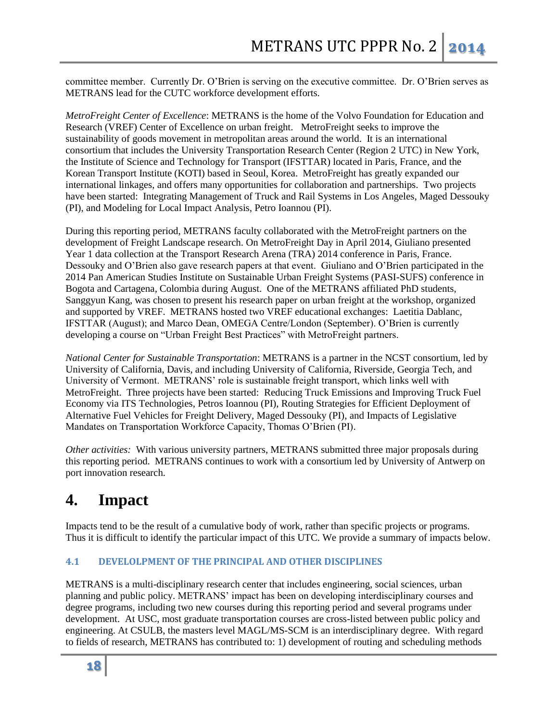committee member. Currently Dr. O'Brien is serving on the executive committee. Dr. O'Brien serves as METRANS lead for the CUTC workforce development efforts.

*MetroFreight Center of Excellence*: METRANS is the home of the Volvo Foundation for Education and Research (VREF) Center of Excellence on urban freight. MetroFreight seeks to improve the sustainability of goods movement in metropolitan areas around the world. It is an international consortium that includes the University Transportation Research Center (Region 2 UTC) in New York, the Institute of Science and Technology for Transport (IFSTTAR) located in Paris, France, and the Korean Transport Institute (KOTI) based in Seoul, Korea. MetroFreight has greatly expanded our international linkages, and offers many opportunities for collaboration and partnerships. Two projects have been started: Integrating Management of Truck and Rail Systems in Los Angeles, Maged Dessouky (PI), and Modeling for Local Impact Analysis, Petro Ioannou (PI).

During this reporting period, METRANS faculty collaborated with the MetroFreight partners on the development of Freight Landscape research. On MetroFreight Day in April 2014, Giuliano presented Year 1 data collection at the Transport Research Arena (TRA) 2014 conference in Paris, France. Dessouky and O'Brien also gave research papers at that event. Giuliano and O'Brien participated in the 2014 Pan American Studies Institute on Sustainable Urban Freight Systems (PASI-SUFS) conference in Bogota and Cartagena, Colombia during August. One of the METRANS affiliated PhD students, Sanggyun Kang, was chosen to present his research paper on urban freight at the workshop, organized and supported by VREF. METRANS hosted two VREF educational exchanges: Laetitia Dablanc, IFSTTAR (August); and Marco Dean, OMEGA Centre/London (September). O'Brien is currently developing a course on "Urban Freight Best Practices" with MetroFreight partners.

*National Center for Sustainable Transportation*: METRANS is a partner in the NCST consortium, led by University of California, Davis, and including University of California, Riverside, Georgia Tech, and University of Vermont. METRANS' role is sustainable freight transport, which links well with MetroFreight. Three projects have been started: Reducing Truck Emissions and Improving Truck Fuel Economy via ITS Technologies, Petros Ioannou (PI), Routing Strategies for Efficient Deployment of Alternative Fuel Vehicles for Freight Delivery, Maged Dessouky (PI), and Impacts of Legislative Mandates on Transportation Workforce Capacity, Thomas O'Brien (PI).

*Other activities:* With various university partners, METRANS submitted three major proposals during this reporting period. METRANS continues to work with a consortium led by University of Antwerp on port innovation research.

## **4. Impact**

Impacts tend to be the result of a cumulative body of work, rather than specific projects or programs. Thus it is difficult to identify the particular impact of this UTC. We provide a summary of impacts below.

## **4.1 DEVELOLPMENT OF THE PRINCIPAL AND OTHER DISCIPLINES**

METRANS is a multi-disciplinary research center that includes engineering, social sciences, urban planning and public policy. METRANS' impact has been on developing interdisciplinary courses and degree programs, including two new courses during this reporting period and several programs under development. At USC, most graduate transportation courses are cross-listed between public policy and engineering. At CSULB, the masters level MAGL/MS-SCM is an interdisciplinary degree. With regard to fields of research, METRANS has contributed to: 1) development of routing and scheduling methods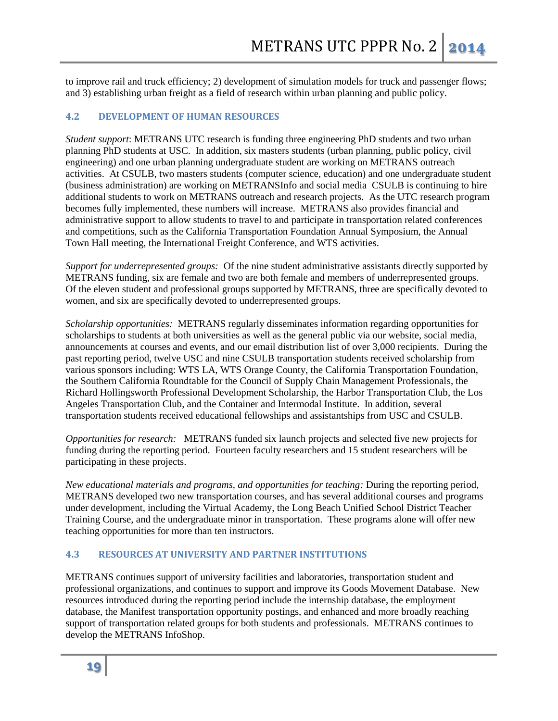to improve rail and truck efficiency; 2) development of simulation models for truck and passenger flows; and 3) establishing urban freight as a field of research within urban planning and public policy.

#### **4.2 DEVELOPMENT OF HUMAN RESOURCES**

*Student support*: METRANS UTC research is funding three engineering PhD students and two urban planning PhD students at USC.In addition, six masters students (urban planning, public policy, civil engineering) and one urban planning undergraduate student are working on METRANS outreach activities.At CSULB, two masters students (computer science, education) and one undergraduate student (business administration) are working on METRANSInfo and social media CSULB is continuing to hire additional students to work on METRANS outreach and research projects. As the UTC research program becomes fully implemented, these numbers will increase. METRANS also provides financial and administrative support to allow students to travel to and participate in transportation related conferences and competitions, such as the California Transportation Foundation Annual Symposium, the Annual Town Hall meeting, the International Freight Conference, and WTS activities.

*Support for underrepresented groups:* Of the nine student administrative assistants directly supported by METRANS funding, six are female and two are both female and members of underrepresented groups. Of the eleven student and professional groups supported by METRANS, three are specifically devoted to women, and six are specifically devoted to underrepresented groups.

*Scholarship opportunities:* METRANS regularly disseminates information regarding opportunities for scholarships to students at both universities as well as the general public via our website, social media, announcements at courses and events, and our email distribution list of over 3,000 recipients. During the past reporting period, twelve USC and nine CSULB transportation students received scholarship from various sponsors including: WTS LA, WTS Orange County, the California Transportation Foundation, the Southern California Roundtable for the Council of Supply Chain Management Professionals, the Richard Hollingsworth Professional Development Scholarship, the Harbor Transportation Club, the Los Angeles Transportation Club, and the Container and Intermodal Institute. In addition, several transportation students received educational fellowships and assistantships from USC and CSULB.

*Opportunities for research:* METRANS funded six launch projects and selected five new projects for funding during the reporting period. Fourteen faculty researchers and 15 student researchers will be participating in these projects.

*New educational materials and programs, and opportunities for teaching:* During the reporting period, METRANS developed two new transportation courses, and has several additional courses and programs under development, including the Virtual Academy, the Long Beach Unified School District Teacher Training Course, and the undergraduate minor in transportation. These programs alone will offer new teaching opportunities for more than ten instructors.

#### **4.3 RESOURCES AT UNIVERSITY AND PARTNER INSTITUTIONS**

METRANS continues support of university facilities and laboratories, transportation student and professional organizations, and continues to support and improve its Goods Movement Database. New resources introduced during the reporting period include the internship database, the employment database, the Manifest transportation opportunity postings, and enhanced and more broadly reaching support of transportation related groups for both students and professionals. METRANS continues to develop the METRANS InfoShop.